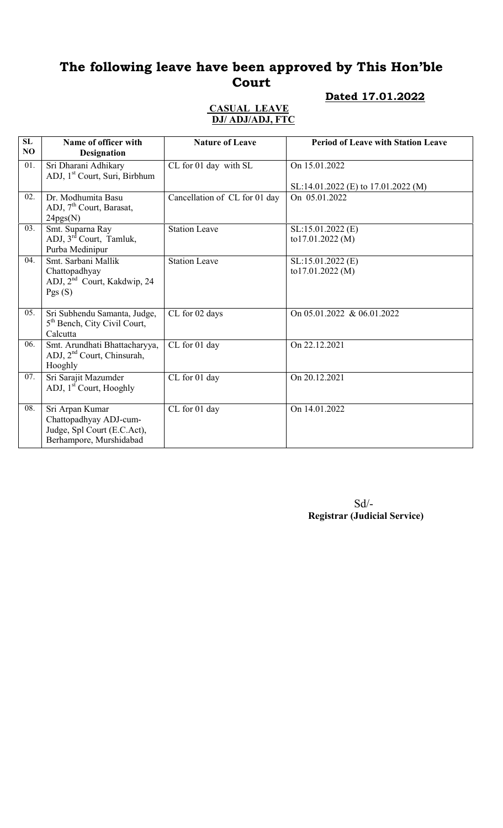# The following leave have been approved by This Hon'ble Court

## Dated 17.01.2022

#### CASUAL LEAVE DJ/ ADJ/ADJ, FTC

| SL<br>NO | Name of officer with<br><b>Designation</b>                                                          | <b>Nature of Leave</b>        | <b>Period of Leave with Station Leave</b>            |
|----------|-----------------------------------------------------------------------------------------------------|-------------------------------|------------------------------------------------------|
| 01.      | Sri Dharani Adhikary<br>ADJ, 1 <sup>st</sup> Court, Suri, Birbhum                                   | CL for 01 day with SL         | On 15.01.2022<br>SL:14.01.2022 (E) to 17.01.2022 (M) |
| 02.      | Dr. Modhumita Basu<br>ADJ, 7 <sup>th</sup> Court, Barasat,<br>24pgs(N)                              | Cancellation of CL for 01 day | On 05.01.2022                                        |
| 03.      | Smt. Suparna Ray<br>ADJ, 3 <sup>rd</sup> Court, Tamluk,<br>Purba Medinipur                          | <b>Station Leave</b>          | SL:15.01.2022 (E)<br>to17.01.2022 (M)                |
| 04.      | Smt. Sarbani Mallik<br>Chattopadhyay<br>ADJ, 2 <sup>nd</sup> Court, Kakdwip, 24<br>Pgs(S)           | <b>Station Leave</b>          | $SL:15.01.2022$ (E)<br>to17.01.2022 (M)              |
| 05.      | Sri Subhendu Samanta, Judge,<br>5 <sup>th</sup> Bench, City Civil Court,<br>Calcutta                | CL for 02 days                | On 05.01.2022 & 06.01.2022                           |
| 06.      | Smt. Arundhati Bhattacharyya,<br>ADJ, 2 <sup>nd</sup> Court, Chinsurah,<br>Hooghly                  | CL for 01 day                 | On 22.12.2021                                        |
| 07.      | Sri Sarajit Mazumder<br>ADJ, 1 <sup>st</sup> Court, Hooghly                                         | CL for 01 day                 | On 20.12.2021                                        |
| 08.      | Sri Arpan Kumar<br>Chattopadhyay ADJ-cum-<br>Judge, Spl Court (E.C.Act),<br>Berhampore, Murshidabad | CL for 01 day                 | On 14.01.2022                                        |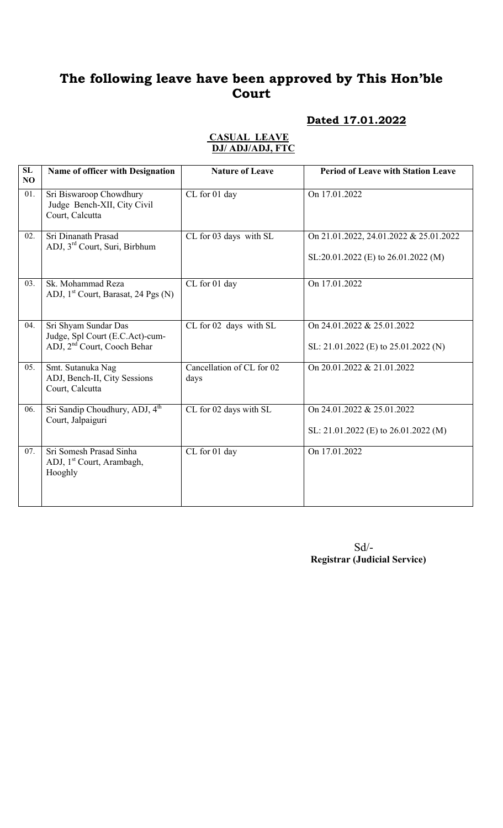# The following leave have been approved by This Hon'ble Court

#### Dated 17.01.2022

#### CASUAL LEAVE DJ/ ADJ/ADJ, FTC

| SL<br>NO | Name of officer with Designation                                                                   | <b>Nature of Leave</b>            | <b>Period of Leave with Station Leave</b>                                     |
|----------|----------------------------------------------------------------------------------------------------|-----------------------------------|-------------------------------------------------------------------------------|
| 01.      | Sri Biswaroop Chowdhury<br>Judge Bench-XII, City Civil<br>Court, Calcutta                          | CL for 01 day                     | On 17.01.2022                                                                 |
| 02.      | Sri Dinanath Prasad<br>ADJ, 3 <sup>rd</sup> Court, Suri, Birbhum                                   | CL for 03 days with SL            | On 21.01.2022, 24.01.2022 & 25.01.2022<br>SL:20.01.2022 (E) to 26.01.2022 (M) |
| 03.      | Sk. Mohammad Reza<br>ADJ, 1 <sup>st</sup> Court, Barasat, 24 Pgs (N)                               | CL for 01 day                     | On 17.01.2022                                                                 |
| 04.      | Sri Shyam Sundar Das<br>Judge, Spl Court (E.C.Act)-cum-<br>ADJ, 2 <sup>nd</sup> Court, Cooch Behar | CL for 02 days with SL            | On 24.01.2022 & 25.01.2022<br>SL: $21.01.2022$ (E) to $25.01.2022$ (N)        |
| 05.      | Smt. Sutanuka Nag<br>ADJ, Bench-II, City Sessions<br>Court, Calcutta                               | Cancellation of CL for 02<br>days | On 20.01.2022 & 21.01.2022                                                    |
| 06.      | Sri Sandip Choudhury, ADJ, 4 <sup>th</sup><br>Court, Jalpaiguri                                    | CL for 02 days with SL            | On 24.01.2022 & 25.01.2022<br>SL: 21.01.2022 (E) to 26.01.2022 (M)            |
| 07.      | Sri Somesh Prasad Sinha<br>ADJ, 1 <sup>st</sup> Court, Arambagh,<br>Hooghly                        | CL for 01 day                     | On 17.01.2022                                                                 |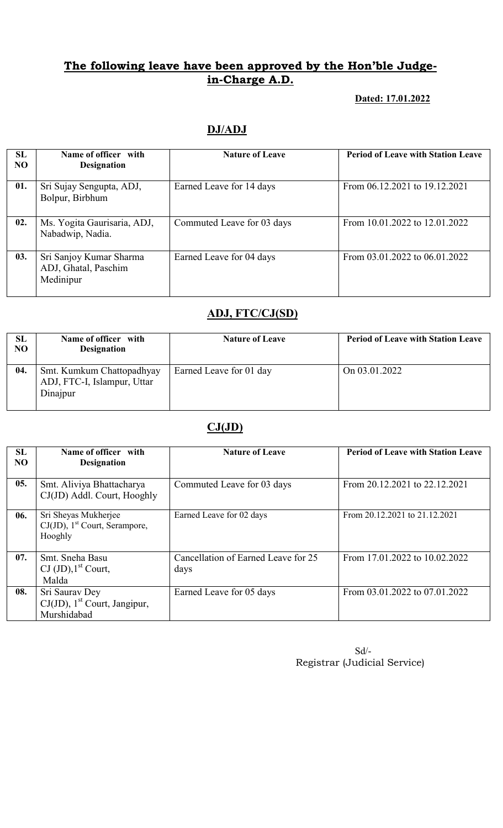## The following leave have been approved by the Hon'ble Judgein-Charge A.D.

#### Dated: 17.01.2022

## DJ/ADJ

| <b>SL</b><br>N <sub>O</sub> | Name of officer with<br><b>Designation</b>                   | <b>Nature of Leave</b>     | <b>Period of Leave with Station Leave</b> |
|-----------------------------|--------------------------------------------------------------|----------------------------|-------------------------------------------|
| 01.                         | Sri Sujay Sengupta, ADJ,<br>Bolpur, Birbhum                  | Earned Leave for 14 days   | From 06.12.2021 to 19.12.2021             |
| 02.                         | Ms. Yogita Gaurisaria, ADJ,<br>Nabadwip, Nadia.              | Commuted Leave for 03 days | From 10.01.2022 to 12.01.2022             |
| 03.                         | Sri Sanjoy Kumar Sharma<br>ADJ, Ghatal, Paschim<br>Medinipur | Earned Leave for 04 days   | From 03.01.2022 to 06.01.2022             |

# ADJ, FTC/CJ(SD)

| SL<br>NO | Name of officer with<br><b>Designation</b>                           | <b>Nature of Leave</b>  | <b>Period of Leave with Station Leave</b> |
|----------|----------------------------------------------------------------------|-------------------------|-------------------------------------------|
| 04.      | Smt. Kumkum Chattopadhyay<br>ADJ, FTC-I, Islampur, Uttar<br>Dinajpur | Earned Leave for 01 day | On 03.01.2022                             |

# $CJ(JD)$

| <b>SL</b><br>N <sub>O</sub> | Name of officer with<br><b>Designation</b>                                      | <b>Nature of Leave</b>                      | <b>Period of Leave with Station Leave</b> |
|-----------------------------|---------------------------------------------------------------------------------|---------------------------------------------|-------------------------------------------|
| 05.                         | Smt. Aliviya Bhattacharya<br>CJ(JD) Addl. Court, Hooghly                        | Commuted Leave for 03 days                  | From 20.12.2021 to 22.12.2021             |
| 06.                         | Sri Sheyas Mukherjee<br>$CJ(JD)$ , 1 <sup>st</sup> Court, Serampore,<br>Hooghly | Earned Leave for 02 days                    | From 20.12.2021 to 21.12.2021             |
| 07.                         | Smt. Sneha Basu<br>$\text{CJ }(\text{JD})$ , 1 <sup>st</sup> Court,<br>Malda    | Cancellation of Earned Leave for 25<br>days | From 17.01.2022 to 10.02.2022             |
| 08.                         | Sri Saurav Dey<br>$CJ(JD)$ , 1 <sup>st</sup> Court, Jangipur,<br>Murshidabad    | Earned Leave for 05 days                    | From 03.01.2022 to 07.01.2022             |